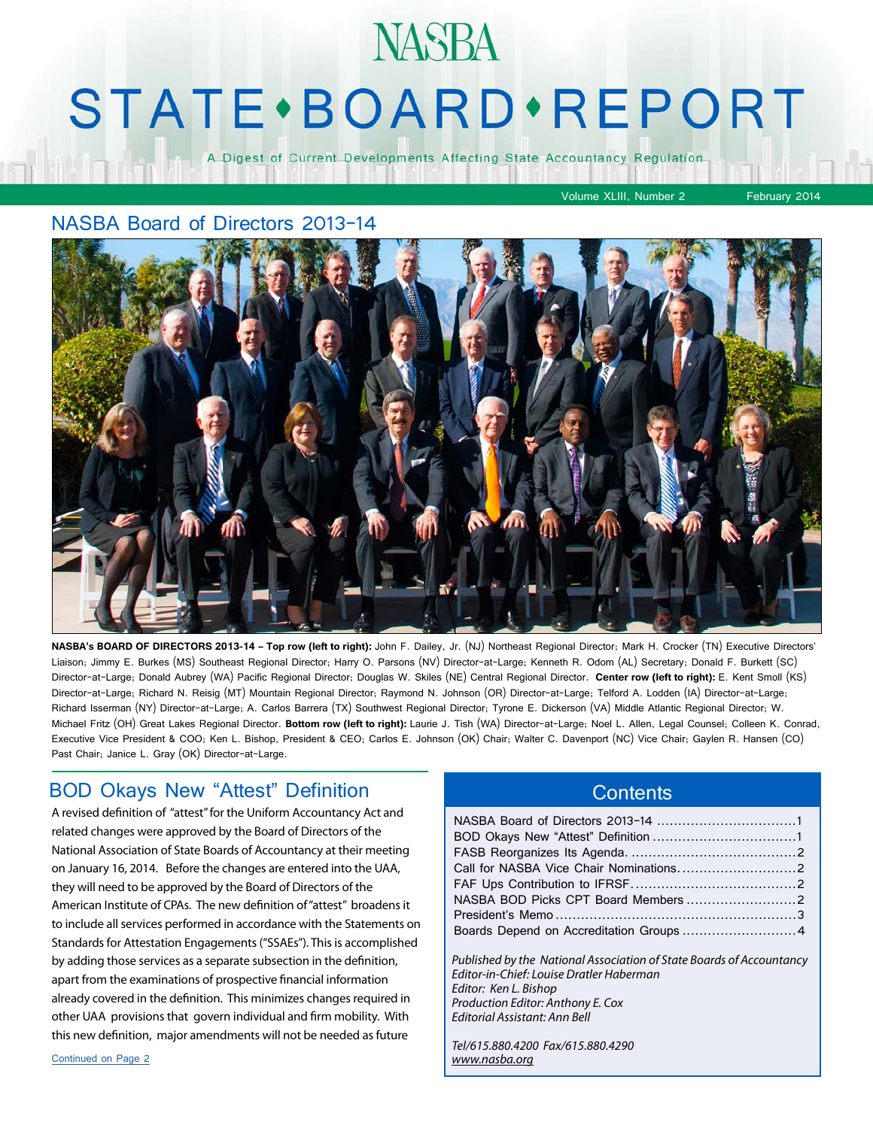# **STATE** · BOARD · REPORT

**NASBA** 

A Digest of Current Developments Affecting State Accountancy Regulation

#### Volume XLIII, Number 2 February 2014

#### NASBA Board of Directors 2013-14



**NASBA's BOARD OF DIRECTORS 2013-14 – Top row (left to right):** John F. Dailey, Jr. (NJ) Northeast Regional Director; Mark H. Crocker (TN) Executive Directors' Liaison; Jimmy E. Burkes (MS) Southeast Regional Director; Harry O. Parsons (NV) Director-at-Large; Kenneth R. Odom (AL) Secretary; Donald F. Burkett (SC) Director-at-Large; Donald Aubrey (WA) Pacific Regional Director; Douglas W. Skiles (NE) Central Regional Director. **Center row (left to right):** E. Kent Smoll (KS) Director-at-Large; Richard N. Reisig (MT) Mountain Regional Director; Raymond N. Johnson (OR) Director-at-Large; Telford A. Lodden (IA) Director-at-Large; Richard Isserman (NY) Director-at-Large; A. Carlos Barrera (TX) Southwest Regional Director; Tyrone E. Dickerson (VA) Middle Atlantic Regional Director; W. Michael Fritz (OH) Great Lakes Regional Director. **Bottom row (left to right):** Laurie J. Tish (WA) Director-at-Large; Noel L. Allen, Legal Counsel; Colleen K. Conrad, Executive Vice President & COO; Ken L. Bishop, President & CEO; Carlos E. Johnson (OK) Chair; Walter C. Davenport (NC) Vice Chair; Gaylen R. Hansen (CO) Past Chair; Janice L. Gray (OK) Director-at-Large.

#### BOD Okays New "Attest" Definition

A revised definition of "attest" for the Uniform Accountancy Act and related changes were approved by the Board of Directors of the National Association of State Boards of Accountancy at their meeting on January 16, 2014. Before the changes are entered into the UAA, they will need to be approved by the Board of Directors of the American Institute of CPAs. The new definition of "attest" broadens it to include all services performed in accordance with the Statements on Standards for Attestation Engagements ("SSAEs"). This is accomplished by adding those services as a separate subsection in the definition, apart from the examinations of prospective financial information already covered in the definition. This minimizes changes required in other UAA provisions that govern individual and firm mobility. With this new definition, major amendments will not be needed as future

#### **Contents**

| NASBA BOD Picks CPT Board Members 2     |  |
|-----------------------------------------|--|
|                                         |  |
| Boards Depend on Accreditation Groups 4 |  |
|                                         |  |

*Published by the National Association of State Boards of Accountancy Editor-in-Chief: Louise Dratler Haberman Editor: Ken L. Bishop Production Editor: Anthony E. Cox Editorial Assistant: Ann Bell* 

*Tel/615.880.4200 Fax/615.880.4290 [www.nasba.org](http://www.nasba.org)*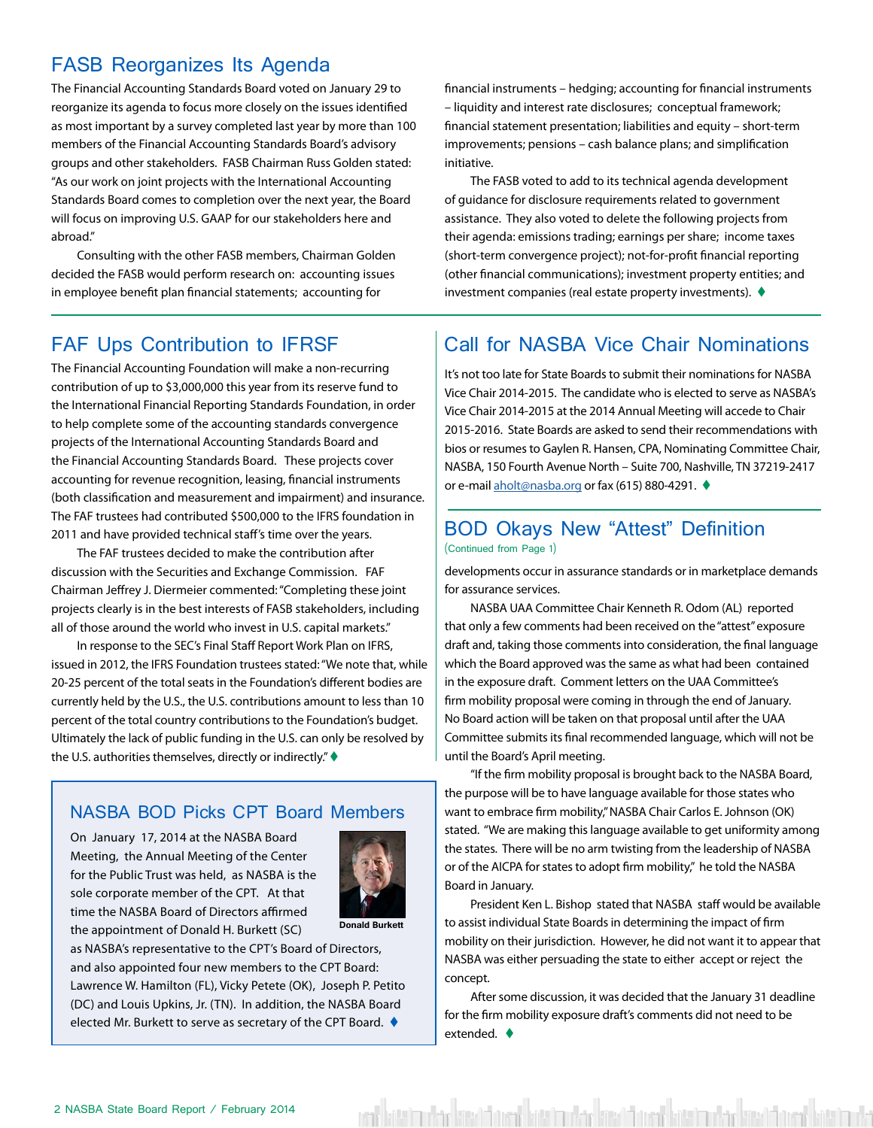### <span id="page-1-0"></span>FASB Reorganizes Its Agenda

The Financial Accounting Standards Board voted on January 29 to reorganize its agenda to focus more closely on the issues identified as most important by a survey completed last year by more than 100 members of the Financial Accounting Standards Board's advisory groups and other stakeholders. FASB Chairman Russ Golden stated: "As our work on joint projects with the International Accounting Standards Board comes to completion over the next year, the Board will focus on improving U.S. GAAP for our stakeholders here and abroad."

Consulting with the other FASB members, Chairman Golden decided the FASB would perform research on: accounting issues in employee benefit plan financial statements; accounting for

financial instruments – hedging; accounting for financial instruments – liquidity and interest rate disclosures; conceptual framework; financial statement presentation; liabilities and equity – short-term improvements; pensions – cash balance plans; and simplification initiative.

The FASB voted to add to its technical agenda development of guidance for disclosure requirements related to government assistance. They also voted to delete the following projects from their agenda: emissions trading; earnings per share; income taxes (short-term convergence project); not-for-profit financial reporting (other financial communications); investment property entities; and investment companies (real estate property investments).  $\blacklozenge$ 

The Financial Accounting Foundation will make a non-recurring contribution of up to \$3,000,000 this year from its reserve fund to the International Financial Reporting Standards Foundation, in order to help complete some of the accounting standards convergence projects of the International Accounting Standards Board and the Financial Accounting Standards Board. These projects cover accounting for revenue recognition, leasing, financial instruments (both classification and measurement and impairment) and insurance. The FAF trustees had contributed \$500,000 to the IFRS foundation in 2011 and have provided technical staff's time over the years.

The FAF trustees decided to make the contribution after discussion with the Securities and Exchange Commission. FAF Chairman Jeffrey J. Diermeier commented: "Completing these joint projects clearly is in the best interests of FASB stakeholders, including all of those around the world who invest in U.S. capital markets."

In response to the SEC's Final Staff Report Work Plan on IFRS, issued in 2012, the IFRS Foundation trustees stated: "We note that, while 20-25 percent of the total seats in the Foundation's different bodies are currently held by the U.S., the U.S. contributions amount to less than 10 percent of the total country contributions to the Foundation's budget. Ultimately the lack of public funding in the U.S. can only be resolved by the U.S. authorities themselves, directly or indirectly."  $\blacklozenge$ 

#### NASBA BOD Picks CPT Board Members

On January 17, 2014 at the NASBA Board Meeting, the Annual Meeting of the Center for the Public Trust was held, as NASBA is the sole corporate member of the CPT. At that time the NASBA Board of Directors affirmed the appointment of Donald H. Burkett (SC)



as NASBA's representative to the CPT's Board of Directors, and also appointed four new members to the CPT Board: Lawrence W. Hamilton (FL), Vicky Petete (OK), Joseph P. Petito (DC) and Louis Upkins, Jr. (TN). In addition, the NASBA Board elected Mr. Burkett to serve as secretary of the CPT Board.  $\blacklozenge$ 

#### FAF Ups Contribution to IFRSF | Call for NASBA Vice Chair Nominations

It's not too late for State Boards to submit their nominations for NASBA Vice Chair 2014-2015. The candidate who is elected to serve as NASBA's Vice Chair 2014-2015 at the 2014 Annual Meeting will accede to Chair 2015-2016. State Boards are asked to send their recommendations with bios or resumes to Gaylen R. Hansen, CPA, Nominating Committee Chair, NASBA, 150 Fourth Avenue North – Suite 700, Nashville, TN 37219-2417 or e-mail [aholt@nasba.org](mailto:aholt%40nasba.org?subject=Call%20for%20Vice%20Chair%20Nomination) or fax (615) 880-4291. ♦

#### BOD Okays New "Attest" Definition (Continued from Page 1)

developments occur in assurance standards or in marketplace demands for assurance services.

NASBA UAA Committee Chair Kenneth R. Odom (AL) reported that only a few comments had been received on the "attest" exposure draft and, taking those comments into consideration, the final language which the Board approved was the same as what had been contained in the exposure draft. Comment letters on the UAA Committee's firm mobility proposal were coming in through the end of January. No Board action will be taken on that proposal until after the UAA Committee submits its final recommended language, which will not be until the Board's April meeting.

"If the firm mobility proposal is brought back to the NASBA Board, the purpose will be to have language available for those states who want to embrace firm mobility," NASBA Chair Carlos E. Johnson (OK) stated. "We are making this language available to get uniformity among the states. There will be no arm twisting from the leadership of NASBA or of the AICPA for states to adopt firm mobility," he told the NASBA Board in January.

President Ken L. Bishop stated that NASBA staff would be available to assist individual State Boards in determining the impact of firm mobility on their jurisdiction. However, he did not want it to appear that NASBA was either persuading the state to either accept or reject the concept.

After some discussion, it was decided that the January 31 deadline for the firm mobility exposure draft's comments did not need to be extended.  $\blacklozenge$ 

ent kitt hade kitab form kitab der kitab form kitab oder kitab form bitab oder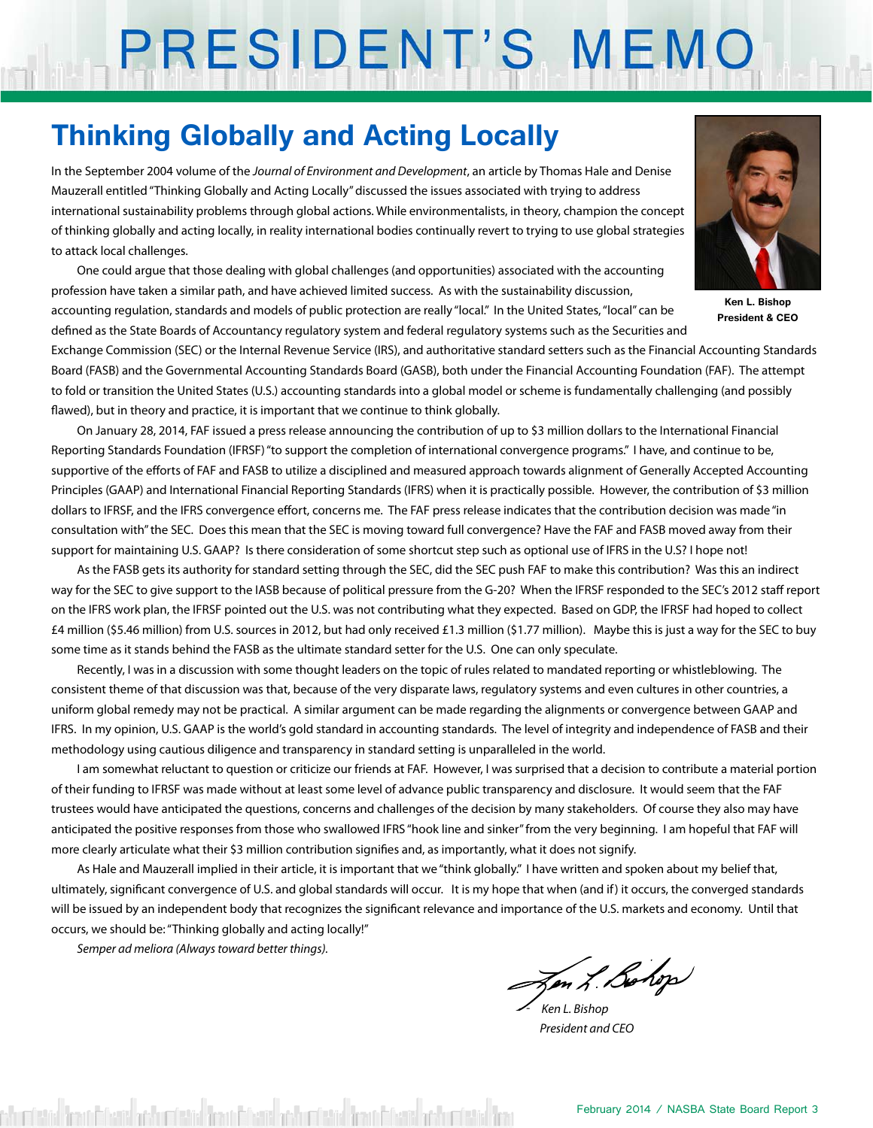# PRESIDENT'S MEMO

## **Thinking Globally and Acting Locally**

In the September 2004 volume of the *Journal of Environment and Development*, an article by Thomas Hale and Denise Mauzerall entitled "Thinking Globally and Acting Locally" discussed the issues associated with trying to address international sustainability problems through global actions. While environmentalists, in theory, champion the concept of thinking globally and acting locally, in reality international bodies continually revert to trying to use global strategies to attack local challenges.

One could argue that those dealing with global challenges (and opportunities) associated with the accounting profession have taken a similar path, and have achieved limited success. As with the sustainability discussion,

accounting regulation, standards and models of public protection are really "local." In the United States, "local" can be defined as the State Boards of Accountancy regulatory system and federal regulatory systems such as the Securities and



**Ken L. Bishop President & CEO**

Exchange Commission (SEC) or the Internal Revenue Service (IRS), and authoritative standard setters such as the Financial Accounting Standards Board (FASB) and the Governmental Accounting Standards Board (GASB), both under the Financial Accounting Foundation (FAF). The attempt to fold or transition the United States (U.S.) accounting standards into a global model or scheme is fundamentally challenging (and possibly flawed), but in theory and practice, it is important that we continue to think globally.

On January 28, 2014, FAF issued a press release announcing the contribution of up to \$3 million dollars to the International Financial Reporting Standards Foundation (IFRSF) "to support the completion of international convergence programs." I have, and continue to be, supportive of the efforts of FAF and FASB to utilize a disciplined and measured approach towards alignment of Generally Accepted Accounting Principles (GAAP) and International Financial Reporting Standards (IFRS) when it is practically possible. However, the contribution of \$3 million dollars to IFRSF, and the IFRS convergence effort, concerns me. The FAF press release indicates that the contribution decision was made "in consultation with" the SEC. Does this mean that the SEC is moving toward full convergence? Have the FAF and FASB moved away from their support for maintaining U.S. GAAP? Is there consideration of some shortcut step such as optional use of IFRS in the U.S? I hope not!

As the FASB gets its authority for standard setting through the SEC, did the SEC push FAF to make this contribution? Was this an indirect way for the SEC to give support to the IASB because of political pressure from the G-20? When the IFRSF responded to the SEC's 2012 staff report on the IFRS work plan, the IFRSF pointed out the U.S. was not contributing what they expected. Based on GDP, the IFRSF had hoped to collect £4 million (\$5.46 million) from U.S. sources in 2012, but had only received £1.3 million (\$1.77 million). Maybe this is just a way for the SEC to buy some time as it stands behind the FASB as the ultimate standard setter for the U.S. One can only speculate.

Recently, I was in a discussion with some thought leaders on the topic of rules related to mandated reporting or whistleblowing. The consistent theme of that discussion was that, because of the very disparate laws, regulatory systems and even cultures in other countries, a uniform global remedy may not be practical. A similar argument can be made regarding the alignments or convergence between GAAP and IFRS. In my opinion, U.S. GAAP is the world's gold standard in accounting standards. The level of integrity and independence of FASB and their methodology using cautious diligence and transparency in standard setting is unparalleled in the world.

I am somewhat reluctant to question or criticize our friends at FAF. However, I was surprised that a decision to contribute a material portion of their funding to IFRSF was made without at least some level of advance public transparency and disclosure. It would seem that the FAF trustees would have anticipated the questions, concerns and challenges of the decision by many stakeholders. Of course they also may have anticipated the positive responses from those who swallowed IFRS "hook line and sinker" from the very beginning. I am hopeful that FAF will more clearly articulate what their \$3 million contribution signifies and, as importantly, what it does not signify.

As Hale and Mauzerall implied in their article, it is important that we "think globally." I have written and spoken about my belief that, ultimately, significant convergence of U.S. and global standards will occur. It is my hope that when (and if) it occurs, the converged standards will be issued by an independent body that recognizes the significant relevance and importance of the U.S. markets and economy. Until that occurs, we should be: "Thinking globally and acting locally!"

*Semper ad meliora (Always toward better things).*

Jen L. Bohop

 *- Ken L. Bishop President and CEO*

shumberid firmini filozid arthumberid firmini filozid arthumberida firmini filozida firmini firmini firmini fi